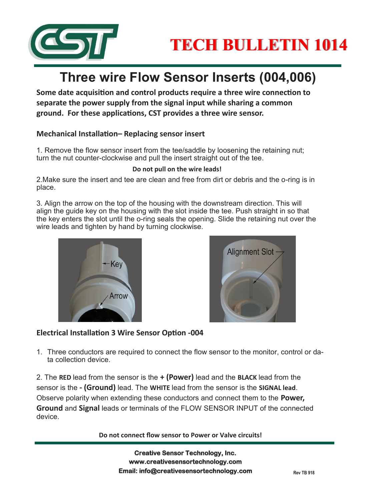

# **Three wire Flow Sensor Inserts (004,006)**

**Some date acquisition and control products require a three wire connection to separate the power supply from the signal input while sharing a common ground. For these applications, CST provides a three wire sensor.**

### **Mechanical Installation– Replacing sensor insert**

1. Remove the flow sensor insert from the tee/saddle by loosening the retaining nut; turn the nut counter-clockwise and pull the insert straight out of the tee.

#### **Do not pull on the wire leads!**

2.Make sure the insert and tee are clean and free from dirt or debris and the o-ring is in place.

3. Align the arrow on the top of the housing with the downstream direction. This will align the guide key on the housing with the slot inside the tee. Push straight in so that the key enters the slot until the o-ring seals the opening. Slide the retaining nut over the wire leads and tighten by hand by turning clockwise.





## **Electrical Installation 3 Wire Sensor Option -004**

1. Three conductors are required to connect the flow sensor to the monitor, control or data collection device.

2. The **RED** lead from the sensor is the **+ (Power)** lead and the **BLACK** lead from the sensor is the **- (Ground)** lead. The **WHITE** lead from the sensor is the **SIGNAL lead**. Observe polarity when extending these conductors and connect them to the **Power, Ground** and **Signal** leads or terminals of the FLOW SENSOR INPUT of the connected device.

**Do not connect flow sensor to Power or Valve circuits!**

**Creative Sensor Technology, Inc. Creative Sensor Technology, Inc. www.creativesensortechnology.com www.creativesensortechnology.com PO Box 426, Rochester, MA 02770 Ph: 508-763-8100 Email: info@creativesensortechnology.com**